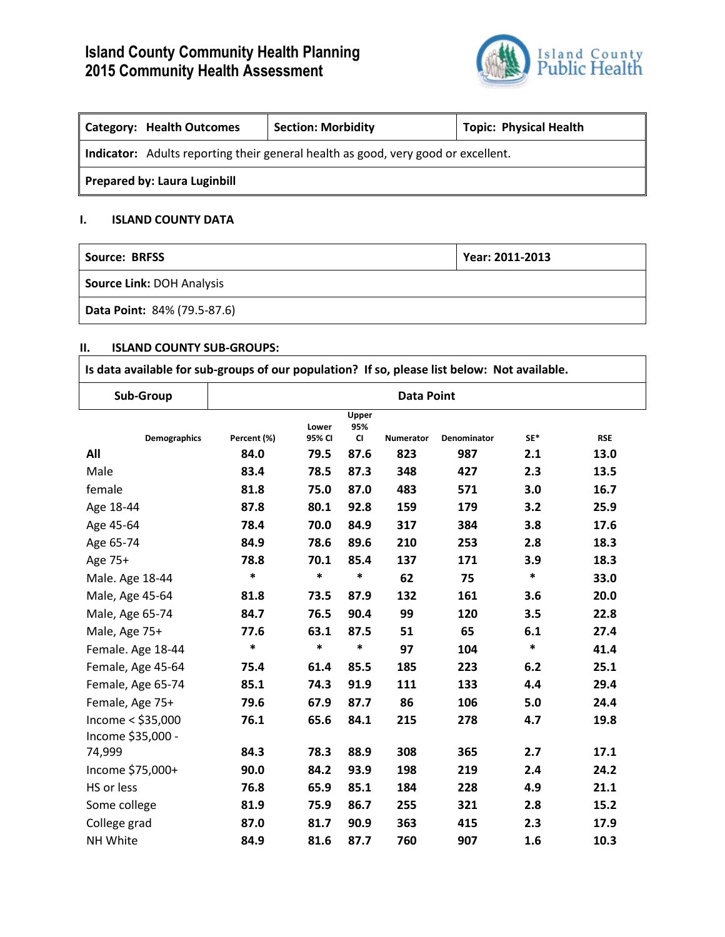# **Island County Community Health Planning 2015 Community Health Assessment**



| Category: Health Outcomes                                                         | <b>Section: Morbidity</b> | <b>Topic: Physical Health</b> |  |  |  |  |  |
|-----------------------------------------------------------------------------------|---------------------------|-------------------------------|--|--|--|--|--|
| Indicator: Adults reporting their general health as good, very good or excellent. |                           |                               |  |  |  |  |  |
| <b>Prepared by: Laura Luginbill</b>                                               |                           |                               |  |  |  |  |  |

# **I. ISLAND COUNTY DATA**

| Source: BRFSS               | Year: 2011-2013 |
|-----------------------------|-----------------|
| Source Link: DOH Analysis   |                 |
| Data Point: 84% (79.5-87.6) |                 |

# **II. ISLAND COUNTY SUB-GROUPS:**

| Is data available for sub-groups of our population? If so, please list below: Not available. |                   |                 |                               |           |             |        |            |
|----------------------------------------------------------------------------------------------|-------------------|-----------------|-------------------------------|-----------|-------------|--------|------------|
| Sub-Group                                                                                    | <b>Data Point</b> |                 |                               |           |             |        |            |
| <b>Demographics</b>                                                                          | Percent (%)       | Lower<br>95% CI | Upper<br>95%<br>$\mathsf{CI}$ | Numerator | Denominator | SE*    | <b>RSE</b> |
| All                                                                                          | 84.0              | 79.5            | 87.6                          | 823       | 987         | 2.1    | 13.0       |
| Male                                                                                         | 83.4              | 78.5            | 87.3                          | 348       | 427         | 2.3    | 13.5       |
| female                                                                                       | 81.8              | 75.0            | 87.0                          | 483       | 571         | 3.0    | 16.7       |
| Age 18-44                                                                                    | 87.8              | 80.1            | 92.8                          | 159       | 179         | 3.2    | 25.9       |
| Age 45-64                                                                                    | 78.4              | 70.0            | 84.9                          | 317       | 384         | 3.8    | 17.6       |
| Age 65-74                                                                                    | 84.9              | 78.6            | 89.6                          | 210       | 253         | 2.8    | 18.3       |
| Age 75+                                                                                      | 78.8              | 70.1            | 85.4                          | 137       | 171         | 3.9    | 18.3       |
| Male. Age 18-44                                                                              | $\ast$            | $\ast$          | $\ast$                        | 62        | 75          | $\ast$ | 33.0       |
| Male, Age 45-64                                                                              | 81.8              | 73.5            | 87.9                          | 132       | 161         | 3.6    | 20.0       |
| Male, Age 65-74                                                                              | 84.7              | 76.5            | 90.4                          | 99        | 120         | 3.5    | 22.8       |
| Male, Age 75+                                                                                | 77.6              | 63.1            | 87.5                          | 51        | 65          | 6.1    | 27.4       |
| Female. Age 18-44                                                                            | $\ast$            | $\ast$          | $\ast$                        | 97        | 104         | $\ast$ | 41.4       |
| Female, Age 45-64                                                                            | 75.4              | 61.4            | 85.5                          | 185       | 223         | 6.2    | 25.1       |
| Female, Age 65-74                                                                            | 85.1              | 74.3            | 91.9                          | 111       | 133         | 4.4    | 29.4       |
| Female, Age 75+                                                                              | 79.6              | 67.9            | 87.7                          | 86        | 106         | 5.0    | 24.4       |
| Income < \$35,000                                                                            | 76.1              | 65.6            | 84.1                          | 215       | 278         | 4.7    | 19.8       |
| Income \$35,000 -                                                                            |                   |                 |                               |           |             |        |            |
| 74,999                                                                                       | 84.3              | 78.3            | 88.9                          | 308       | 365         | 2.7    | 17.1       |
| Income \$75,000+                                                                             | 90.0              | 84.2            | 93.9                          | 198       | 219         | 2.4    | 24.2       |
| HS or less                                                                                   | 76.8              | 65.9            | 85.1                          | 184       | 228         | 4.9    | 21.1       |
| Some college                                                                                 | 81.9              | 75.9            | 86.7                          | 255       | 321         | 2.8    | 15.2       |
| College grad                                                                                 | 87.0              | 81.7            | 90.9                          | 363       | 415         | 2.3    | 17.9       |
| NH White                                                                                     | 84.9              | 81.6            | 87.7                          | 760       | 907         | 1.6    | 10.3       |